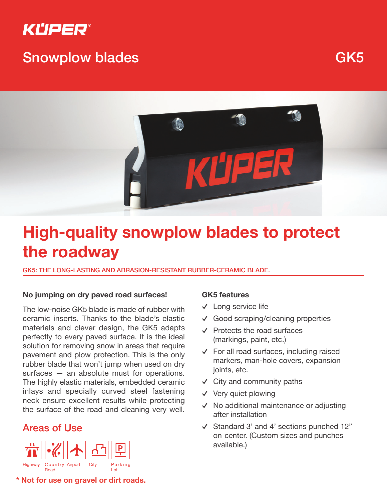

# Snowplow blades GK5



# **High-quality snowplow blades to protect the roadway**

GK5: THE LONG-LASTING AND ABRASION-RESISTANT RUBBER-CERAMIC BLADE.

### **No jumping on dry paved road surfaces!**

The low-noise GK5 blade is made of rubber with ceramic inserts. Thanks to the blade's elastic materials and clever design, the GK5 adapts perfectly to every paved surface. It is the ideal solution for removing snow in areas that require pavement and plow protection. This is the only rubber blade that won't jump when used on dry surfaces – an absolute must for operations. The highly elastic materials, embedded ceramic inlays and specially curved steel fastening neck ensure excellent results while protecting the surface of the road and cleaning very well.

### Areas of Use



**\* Not for use on gravel or dirt roads.**

### **GK5 features**

- ࢚ Long service life
- ࢚ Good scraping/cleaning properties
- ࢚ Protects the road surfaces (markings, paint, etc.)
- $\checkmark$  For all road surfaces, including raised markers, man-hole covers, expansion joints, etc.
- ࢚ City and community paths
- $\checkmark$  Very quiet plowing
- ࢚ No additional maintenance or adjusting after installation
- ࢚ Standard 3' and 4' sections punched 12" on center. (Custom sizes and punches available.)